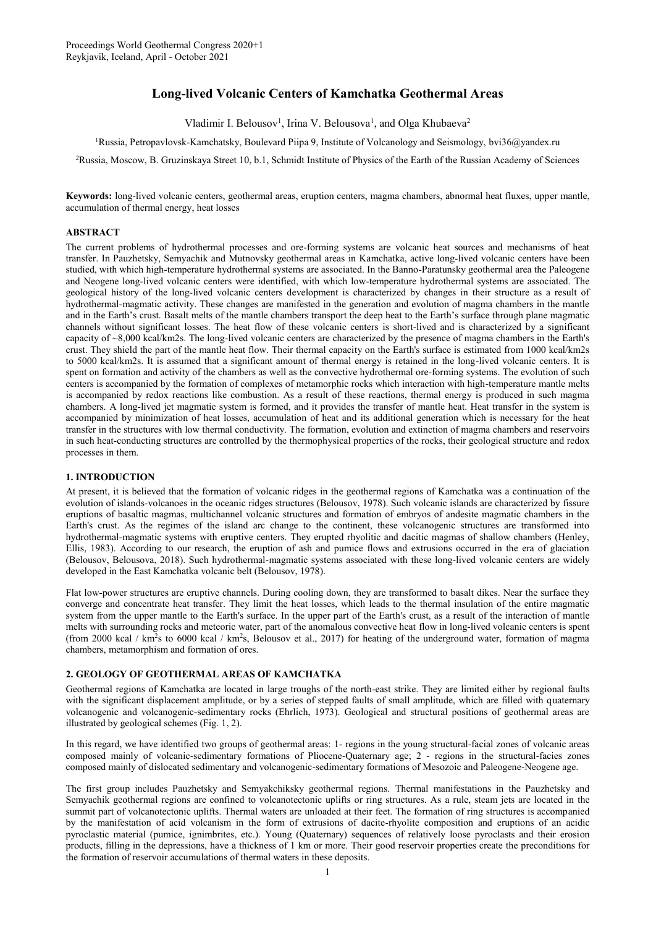# **Long-lived Volcanic Centers of Kamchatka Geothermal Areas**

Vladimir I. Belousov<sup>1</sup>, Irina V. Belousova<sup>1</sup>, and Olga Khubaeva<sup>2</sup>

<sup>1</sup>Russia, Petropavlovsk-Kamchatsky, Boulevard Piipa 9, Institute of Volcanology and Seismology, [bvi36@yandex.ru](mailto:bvi36@yandex.ru)

<sup>2</sup>Russia, Moscow, B. Gruzinskaya Street 10, b.1, Schmidt Institute of Physics of the Earth of the Russian Academy of Sciences

**Keywords:** long-lived volcanic centers, geothermal areas, eruption centers, magma chambers, abnormal heat fluxes, upper mantle, accumulation of thermal energy, heat losses

## **ABSTRACT**

The current problems of hydrothermal processes and ore-forming systems are volcanic heat sources and mechanisms of heat transfer. In Pauzhetsky, Semyachik and Mutnovsky geothermal areas in Kamchatka, active long-lived volcanic centers have been studied, with which high-temperature hydrothermal systems are associated. In the Banno-Paratunsky geothermal area the Paleogene and Neogene long-lived volcanic centers were identified, with which low-temperature hydrothermal systems are associated. The geological history of the long-lived volcanic centers development is characterized by changes in their structure as a result of hydrothermal-magmatic activity. These changes are manifested in the generation and evolution of magma chambers in the mantle and in the Earth's crust. Basalt melts of the mantle chambers transport the deep heat to the Earth's surface through plane magmatic channels without significant losses. The heat flow of these volcanic centers is short-lived and is characterized by a significant capacity of ~8,000 kcal/km2s. The long-lived volcanic centers are characterized by the presence of magma chambers in the Earth's crust. They shield the part of the mantle heat flow. Their thermal capacity on the Earth's surface is estimated from 1000 kcal/km2s to 5000 kcal/km2s. It is assumed that a significant amount of thermal energy is retained in the long-lived volcanic centers. It is spent on formation and activity of the chambers as well as the convective hydrothermal ore-forming systems. The evolution of such centers is accompanied by the formation of complexes of metamorphic rocks which interaction with high-temperature mantle melts is accompanied by redox reactions like combustion. As a result of these reactions, thermal energy is produced in such magma chambers. A long-lived jet magmatic system is formed, and it provides the transfer of mantle heat. Heat transfer in the system is accompanied by minimization of heat losses, accumulation of heat and its additional generation which is necessary for the heat transfer in the structures with low thermal conductivity. The formation, evolution and extinction of magma chambers and reservoirs in such heat-conducting structures are controlled by the thermophysical properties of the rocks, their geological structure and redox processes in them.

# **1. INTRODUCTION**

At present, it is believed that the formation of volcanic ridges in the geothermal regions of Kamchatka was a continuation of the evolution of islands-volcanoes in the oceanic ridges structures (Belousov, 1978). Such volcanic islands are characterized by fissure eruptions of basaltic magmas, multichannel volcanic structures and formation of embryos of andesite magmatic chambers in the Earth's crust. As the regimes of the island arc change to the continent, these volcanogenic structures are transformed into hydrothermal-magmatic systems with eruptive centers. They erupted rhyolitic and dacitic magmas of shallow chambers (Henley, Ellis, 1983). According to our research, the eruption of ash and pumice flows and extrusions occurred in the era of glaciation (Belousov, Belousova, 2018). Such hydrothermal-magmatic systems associated with these long-lived volcanic centers are widely developed in the East Kamchatka volcanic belt (Belousov, 1978).

Flat low-power structures are eruptive channels. During cooling down, they are transformed to basalt dikes. Near the surface they converge and concentrate heat transfer. They limit the heat losses, which leads to the thermal insulation of the entire magmatic system from the upper mantle to the Earth's surface. In the upper part of the Earth's crust, as a result of the interaction of mantle melts with surrounding rocks and meteoric water, part of the anomalous convective heat flow in long-lived volcanic centers is spent (from 2000 kcal / km<sup>2</sup>s to 6000 kcal / km<sup>2</sup>s, Belousov et al., 2017) for heating of the underground water, formation of magma chambers, metamorphism and formation of ores.

## **2. GEOLOGY OF GEOTHERMAL AREAS OF KAMCHATKA**

Geothermal regions of Kamchatka are located in large troughs of the north-east strike. They are limited either by regional faults with the significant displacement amplitude, or by a series of stepped faults of small amplitude, which are filled with quaternary volcanogenic and volcanogenic-sedimentary rocks (Ehrlich, 1973). Geological and structural positions of geothermal areas are illustrated by geological schemes (Fig. 1, 2).

In this regard, we have identified two groups of geothermal areas: 1- regions in the young structural-facial zones of volcanic areas composed mainly of volcanic-sedimentary formations of Pliocene-Quaternary age; 2 - regions in the structural-facies zones composed mainly of dislocated sedimentary and volcanogenic-sedimentary formations of Mesozoic and Paleogene-Neogene age.

The first group includes Pauzhetsky and Semyakchiksky geothermal regions. Thermal manifestations in the Pauzhetsky and Semyachik geothermal regions are confined to volcanotectonic uplifts or ring structures. As a rule, steam jets are located in the summit part of volcanotectonic uplifts. Thermal waters are unloaded at their feet. The formation of ring structures is accompanied by the manifestation of acid volcanism in the form of extrusions of dacitе-rhyolite composition and eruptions of an acidic pyroclastic material (pumice, ignimbrites, etc.). Young (Quaternary) sequences of relatively loose pyroclasts and their erosion products, filling in the depressions, have a thickness of 1 km or more. Their good reservoir properties create the preconditions for the formation of reservoir accumulations of thermal waters in these deposits.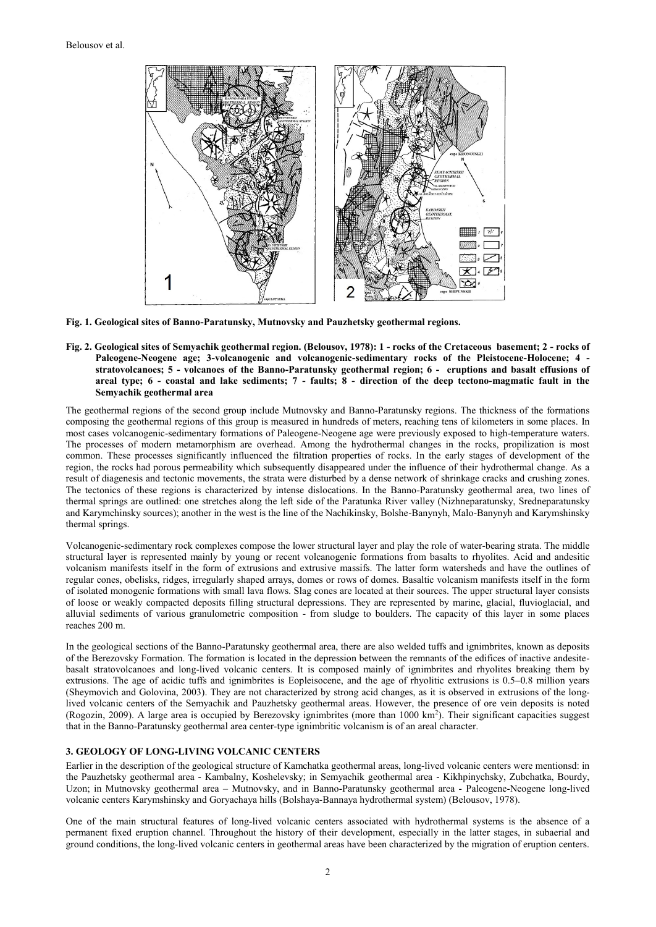

**Fig. 1. Geological sites of Banno-Paratunsky, Mutnovsky and Pauzhetsky geothermal regions.**

**Fig. 2. Geological sites of Semyachik geothermal region. (Belousov, 1978): 1 - rocks of the Cretaceous basement; 2 - rocks of Paleogene-Neogene age; 3-volcanogenic and volcanogenic-sedimentary rocks of the Pleistocene-Holocene; 4 stratovolcanoes; 5 - volcanoes of the Banno-Paratunsky geothermal region; 6 - eruptions and basalt effusions of areal type; 6 - coastal and lake sediments; 7 - faults; 8 - direction of the deep tectono-magmatic fault in the Semyachik geothermal area**

The geothermal regions of the second group include Mutnovsky and Banno-Paratunsky regions. The thickness of the formations composing the geothermal regions of this group is measured in hundreds of meters, reaching tens of kilometers in some places. In most cases volcanogenic-sedimentary formations of Paleogene-Neogene age were previously exposed to high-temperature waters. The processes of modern metamorphism are overhead. Among the hydrothermal changes in the rocks, propilization is most common. These processes significantly influenced the filtration properties of rocks. In the early stages of development of the region, the rocks had porous permeability which subsequently disappeared under the influence of their hydrothermal change. As a result of diagenesis and tectonic movements, the strata were disturbed by a dense network of shrinkage cracks and crushing zones. The tectonics of these regions is characterized by intense dislocations. In the Banno-Paratunsky geothermal area, two lines of thermal springs are outlined: one stretches along the left side of the Paratunka River valley (Nizhneparatunsky, Sredneparatunsky and Karymchinsky sources); another in the west is the line of the Nachikinsky, Bolshe-Banynyh, Malo-Banynyh and Karymshinsky thermal springs.

Volcanogenic-sedimentary rock complexes compose the lower structural layer and play the role of water-bearing strata. The middle structural layer is represented mainly by young or recent volcanogenic formations from basalts to rhyolites. Acid and andesitic volcanism manifests itself in the form of extrusions and extrusive massifs. The latter form watersheds and have the outlines of regular cones, obelisks, ridges, irregularly shaped arrays, domes or rows of domes. Basaltic volcanism manifests itself in the form of isolated monogenic formations with small lava flows. Slag cones are located at their sources. The upper structural layer consists of loose or weakly compacted deposits filling structural depressions. They are represented by marine, glacial, fluvioglacial, and alluvial sediments of various granulometric composition - from sludge to boulders. The capacity of this layer in some places reaches 200 m.

In the geological sections of the Banno-Paratunsky geothermal area, there are also welded tuffs and ignimbrites, known as deposits of the Berezovsky Formation. The formation is located in the depression between the remnants of the edifices of inactive andesitebasalt stratovolcanoes and long-lived volcanic centers. It is composed mainly of ignimbrites and rhyolites breaking them by extrusions. The age of acidic tuffs and ignimbrites is Eopleisocene, and the age of rhyolitic extrusions is 0.5–0.8 million years (Sheymovich and Golovina, 2003). They are not characterized by strong acid changes, as it is observed in extrusions of the longlived volcanic centers of the Semyachik and Pauzhetsky geothermal areas. However, the presence of ore vein deposits is noted (Rogozin, 2009). A large area is occupied by Berezovsky ignimbrites (more than 1000 km<sup>2</sup>). Their significant capacities suggest that in the Banno-Paratunsky geothermal area center-type ignimbritic volcanism is of an areal character.

#### **3. GEOLOGY OF LONG-LIVING VOLCANIC CENTERS**

Earlier in the description of the geological structure of Kamchatka geothermal areas, long-lived volcanic centers were mentionsd: in the Pauzhetsky geothermal area - Kambalny, Koshelevsky; in Semyachik geothermal area - Kikhpinychsky, Zubchatka, Bourdy, Uzon; in Mutnovsky geothermal area – Mutnovsky, and in Banno-Paratunsky geothermal area - Paleogene-Neogene long-lived volcanic centers Karymshinsky and Goryachaya hills (Bolshaya-Bannaya hydrothermal system) (Belousov, 1978).

One of the main structural features of long-lived volcanic centers associated with hydrothermal systems is the absence of a permanent fixed eruption channel. Throughout the history of their development, especially in the latter stages, in subaerial and ground conditions, the long-lived volcanic centers in geothermal areas have been characterized by the migration of eruption centers.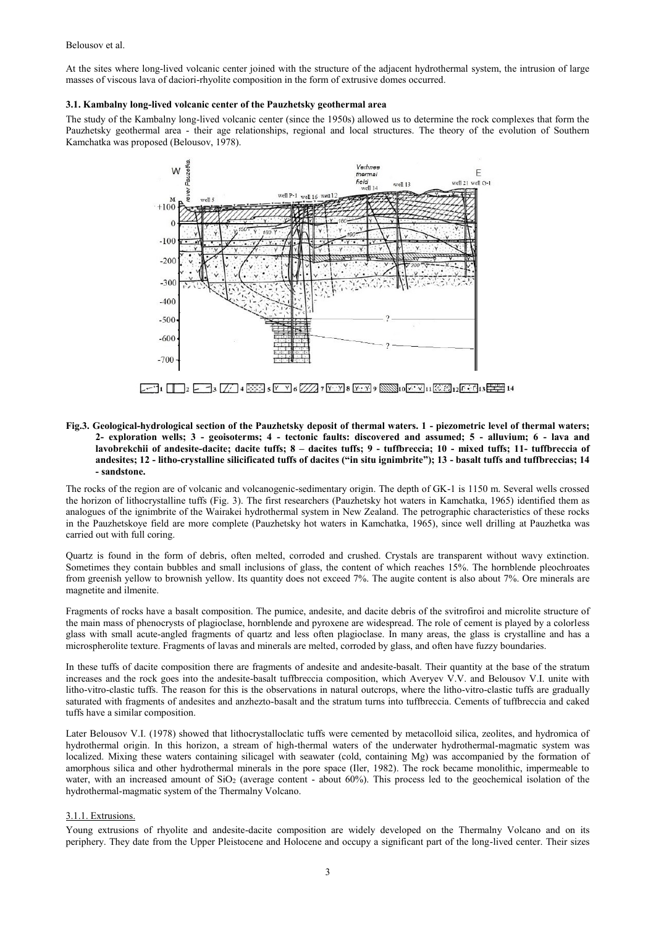At the sites where long-lived volcanic center joined with the structure of the adjacent hydrothermal system, the intrusion of large masses of viscous lava of daciori-rhyolite composition in the form of extrusive domes occurred.

#### **3.1. Kambalny long-lived volcanic center of the Pauzhetsky geothermal area**

The study of the Kambalny long-lived volcanic center (since the 1950s) allowed us to determine the rock complexes that form the Pauzhetsky geothermal area - their age relationships, regional and local structures. The theory of the evolution of Southern Kamchatka was proposed (Belousov, 1978).



## **Fig.3. Geological-hydrological section of the Pauzhetsky deposit of thermal waters. 1 - piezometric level of thermal waters; 2- exploration wells; 3 - geoisoterms; 4 - tectonic faults: discovered and assumed; 5 - alluvium; 6 - lava and lavobrekchii of andesite-dacite; dacite tuffs; 8 – dacites tuffs; 9 - tuffbreccia; 10 - mixed tuffs; 11- tuffbreccia of andesites; 12 - litho-crystalline silicificated tuffs of dacites ("in situ ignimbrite"); 13 - basalt tuffs and tuffbreccias; 14 - sandstone.**

The rocks of the region are of volcanic and volcanogenic-sedimentary origin. The depth of GK-1 is 1150 m. Several wells crossed the horizon of lithocrystalline tuffs (Fig. 3). The first researchers (Pauzhetsky hot waters in Kamchatka, 1965) identified them as analogues of the ignimbrite of the Wairakei hydrothermal system in New Zealand. The petrographic characteristics of these rocks in the Pauzhetskoye field are more complete (Pauzhetsky hot waters in Kamchatka, 1965), since well drilling at Pauzhetka was carried out with full coring.

Quartz is found in the form of debris, often melted, corroded and crushed. Crystals are transparent without wavy extinction. Sometimes they contain bubbles and small inclusions of glass, the content of which reaches 15%. The hornblende pleochroates from greenish yellow to brownish yellow. Its quantity does not exceed 7%. The augite content is also about 7%. Ore minerals are magnetite and ilmenite.

Fragments of rocks have a basalt composition. The pumice, andesite, and dacite debris of the svitrofiroi and microlite structure of the main mass of phenocrysts of plagioclase, hornblende and pyroxene are widespread. The role of cement is played by a colorless glass with small acute-angled fragments of quartz and less often plagioclase. In many areas, the glass is crystalline and has a microspherolite texture. Fragments of lavas and minerals are melted, corroded by glass, and often have fuzzy boundaries.

In these tuffs of dacite composition there are fragments of andesite and andesite-basalt. Their quantity at the base of the stratum increases and the rock goes into the andesite-basalt tuffbreccia composition, which Averyev V.V. and Belousov V.I. unite with litho-vitro-clastic tuffs. The reason for this is the observations in natural outcrops, where the litho-vitro-clastic tuffs are gradually saturated with fragments of andesites and anzhezto-basalt and the stratum turns into tuffbreccia. Cements of tuffbreccia and caked tuffs have a similar composition.

Later Belousov V.I. (1978) showed that lithocrystalloclatic tuffs were cemented by metacolloid silica, zeolites, and hydromica of hydrothermal origin. In this horizon, a stream of high-thermal waters of the underwater hydrothermal-magmatic system was localized. Mixing these waters containing silicagel with seawater (cold, containing Mg) was accompanied by the formation of amorphous silica and other hydrothermal minerals in the pore space (Iler, 1982). The rock became monolithic, impermeable to water, with an increased amount of  $SiO<sub>2</sub>$  (average content - about 60%). This process led to the geochemical isolation of the hydrothermal-magmatic system of the Thermalny Volcano.

## 3.1.1. Extrusions.

Young extrusions of rhyolite and andesite-dacite composition are widely developed on the Thermalny Volcano and on its periphery. They date from the Upper Pleistocene and Holocene and occupy a significant part of the long-lived center. Their sizes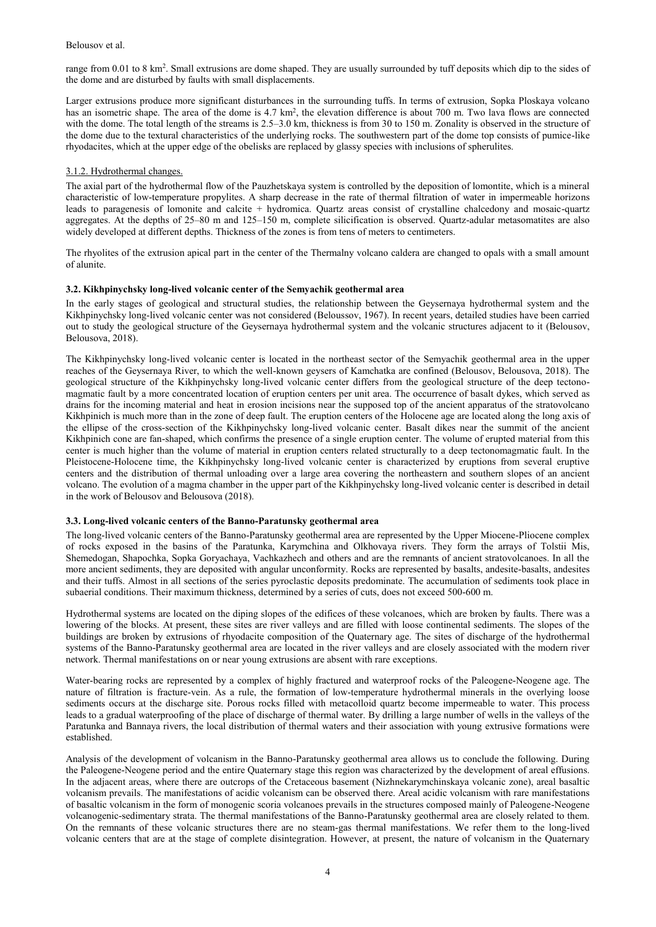range from 0.01 to 8 km<sup>2</sup>. Small extrusions are dome shaped. They are usually surrounded by tuff deposits which dip to the sides of the dome and are disturbed by faults with small displacements.

Larger extrusions produce more significant disturbances in the surrounding tuffs. In terms of extrusion, Sopka Ploskaya volcano has an isometric shape. The area of the dome is 4.7 km<sup>2</sup>, the elevation difference is about 700 m. Two lava flows are connected with the dome. The total length of the streams is 2.5–3.0 km, thickness is from 30 to 150 m. Zonality is observed in the structure of the dome due to the textural characteristics of the underlying rocks. The southwestern part of the dome top consists of pumice-like rhyodacites, which at the upper edge of the obelisks are replaced by glassy species with inclusions of spherulites.

## 3.1.2. Hydrothermal changes.

The axial part of the hydrothermal flow of the Pauzhetskaya system is controlled by the deposition of lomontite, which is a mineral characteristic of low-temperature propylites. A sharp decrease in the rate of thermal filtration of water in impermeable horizons leads to paragenesis of lomonite and calcite + hydromica. Quartz areas consist of crystalline chalcedony and mosaic-quartz aggregates. At the depths of 25–80 m and 125–150 m, complete silicification is observed. Quartz-adular metasomatites are also widely developed at different depths. Thickness of the zones is from tens of meters to centimeters.

The rhyolites of the extrusion apical part in the center of the Thermalny volcano caldera are changed to opals with a small amount of alunite.

# **3.2. Kikhpinychsky long-lived volcanic center of the Semyachik geothermal area**

In the early stages of geological and structural studies, the relationship between the Geysernaya hydrothermal system and the Kikhpinychsky long-lived volcanic center was not considered (Beloussov, 1967). In recent years, detailed studies have been carried out to study the geological structure of the Geysernaya hydrothermal system and the volcanic structures adjacent to it (Belousov, Belousova, 2018).

The Kikhpinychsky long-lived volcanic center is located in the northeast sector of the Semyachik geothermal area in the upper reaches of the Geysernaya River, to which the well-known geysers of Kamchatka are confined (Belousov, Belousova, 2018). The geological structure of the Kikhpinychsky long-lived volcanic center differs from the geological structure of the deep tectonomagmatic fault by a more concentrated location of eruption centers per unit area. The occurrence of basalt dykes, which served as drains for the incoming material and heat in erosion incisions near the supposed top of the ancient apparatus of the stratovolcano Kikhpinich is much more than in the zone of deep fault. The eruption centers of the Holocene age are located along the long axis of the ellipse of the cross-section of the Kikhpinychsky long-lived volcanic center. Basalt dikes near the summit of the ancient Kikhpinich cone are fan-shaped, which confirms the presence of a single eruption center. The volume of erupted material from this center is much higher than the volume of material in eruption centers related structurally to a deep tectonomagmatic fault. In the Pleistocene-Holocene time, the Kikhpinychsky long-lived volcanic center is characterized by eruptions from several eruptive centers and the distribution of thermal unloading over a large area covering the northeastern and southern slopes of an ancient volcano. The evolution of a magma chamber in the upper part of the Kikhpinychsky long-lived volcanic center is described in detail in the work of Belousov and Belousova (2018).

## **3.3. Long-lived volcanic centers of the Banno-Paratunsky geothermal area**

The long-lived volcanic centers of the Banno-Paratunsky geothermal area are represented by the Upper Miocene-Pliocene complex of rocks exposed in the basins of the Paratunka, Karymchina and Olkhovaya rivers. They form the arrays of Tolstii Mis, Shemedogan, Shapochka, Sopka Goryachaya, Vachkazhech and others and are the remnants of ancient stratovolcanoes. In all the more ancient sediments, they are deposited with angular unconformity. Rocks are represented by basalts, andesite-basalts, andesites and their tuffs. Almost in all sections of the series pyroclastic deposits predominate. The accumulation of sediments took place in subaerial conditions. Their maximum thickness, determined by a series of cuts, does not exceed 500-600 m.

Hydrothermal systems are located on the diping slopes of the edifices of these volcanoes, which are broken by faults. There was a lowering of the blocks. At present, these sites are river valleys and are filled with loose continental sediments. The slopes of the buildings are broken by extrusions of rhyodacite composition of the Quaternary age. The sites of discharge of the hydrothermal systems of the Banno-Paratunsky geothermal area are located in the river valleys and are closely associated with the modern river network. Thermal manifestations on or near young extrusions are absent with rare exceptions.

Water-bearing rocks are represented by a complex of highly fractured and waterproof rocks of the Paleogene-Neogene age. The nature of filtration is fracture-vein. As a rule, the formation of low-temperature hydrothermal minerals in the overlying loose sediments occurs at the discharge site. Porous rocks filled with metacolloid quartz become impermeable to water. This process leads to a gradual waterproofing of the place of discharge of thermal water. By drilling a large number of wells in the valleys of the Paratunka and Bannaya rivers, the local distribution of thermal waters and their association with young extrusive formations were established.

Analysis of the development of volcanism in the Banno-Paratunsky geothermal area allows us to conclude the following. During the Paleogene-Neogene period and the entire Quaternary stage this region was characterized by the development of areal effusions. In the adjacent areas, where there are outcrops of the Cretaceous basement (Nizhnekarymchinskaya volcanic zone), areal basaltic volcanism prevails. The manifestations of acidic volcanism can be observed there. Areal acidic volcanism with rare manifestations of basaltic volcanism in the form of monogenic scoria volcanoes prevails in the structures composed mainly of Paleogene-Neogene volcanogenic-sedimentary strata. The thermal manifestations of the Banno-Paratunsky geothermal area are closely related to them. On the remnants of these volcanic structures there are no steam-gas thermal manifestations. We refer them to the long-lived volcanic centers that are at the stage of complete disintegration. However, at present, the nature of volcanism in the Quaternary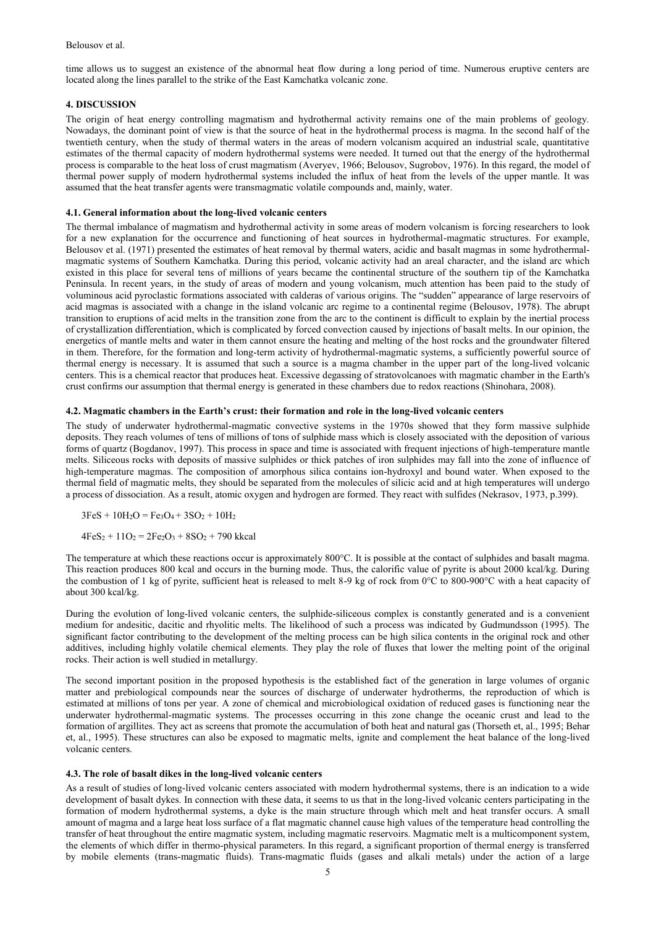time allows us to suggest an existence of the abnormal heat flow during a long period of time. Numerous eruptive centers are located along the lines parallel to the strike of the East Kamchatka volcanic zone.

## **4. DISCUSSION**

The origin of heat energy controlling magmatism and hydrothermal activity remains one of the main problems of geology. Nowadays, the dominant point of view is that the source of heat in the hydrothermal process is magma. In the second half of the twentieth century, when the study of thermal waters in the areas of modern volcanism acquired an industrial scale, quantitative estimates of the thermal capacity of modern hydrothermal systems were needed. It turned out that the energy of the hydrothermal process is comparable to the heat loss of crust magmatism (Averyev, 1966; Belousov, Sugrobov, 1976). In this regard, the model of thermal power supply of modern hydrothermal systems included the influx of heat from the levels of the upper mantle. It was assumed that the heat transfer agents were transmagmatic volatile compounds and, mainly, water.

#### **4.1. General information about the long-lived volcanic centers**

The thermal imbalance of magmatism and hydrothermal activity in some areas of modern volcanism is forcing researchers to look for a new explanation for the occurrence and functioning of heat sources in hydrothermal-magmatic structures. For example, Belousov et al. (1971) presented the estimates of heat removal by thermal waters, acidic and basalt magmas in some hydrothermalmagmatic systems of Southern Kamchatka. During this period, volcanic activity had an areal character, and the island arc which existed in this place for several tens of millions of years became the continental structure of the southern tip of the Kamchatka Peninsula. In recent years, in the study of areas of modern and young volcanism, much attention has been paid to the study of voluminous acid pyroclastic formations associated with calderas of various origins. The "sudden" appearance of large reservoirs of acid magmas is associated with a change in the island volcanic arc regime to a continental regime (Belousov, 1978). The abrupt transition to eruptions of acid melts in the transition zone from the arc to the continent is difficult to explain by the inertial process of crystallization differentiation, which is complicated by forced convection caused by injections of basalt melts. In our opinion, the energetics of mantle melts and water in them cannot ensure the heating and melting of the host rocks and the groundwater filtered in them. Therefore, for the formation and long-term activity of hydrothermal-magmatic systems, a sufficiently powerful source of thermal energy is necessary. It is assumed that such a source is a magma chamber in the upper part of the long-lived volcanic centers. This is a chemical reactor that produces heat. Excessive degassing of stratovolcanoes with magmatic chamber in the Earth's crust confirms our assumption that thermal energy is generated in these chambers due to redox reactions (Shinohara, 2008).

#### **4.2. Magmatic chambers in the Earth's crust: their formation and role in the long-lived volcanic centers**

The study of underwater hydrothermal-magmatic convective systems in the 1970s showed that they form massive sulphide deposits. They reach volumes of tens of millions of tons of sulphide mass which is closely associated with the deposition of various forms of quartz (Bogdanov, 1997). This process in space and time is associated with frequent injections of high-temperature mantle melts. Siliceous rocks with deposits of massive sulphides or thick patches of iron sulphides may fall into the zone of influence of high-temperature magmas. The composition of amorphous silica contains ion-hydroxyl and bound water. When exposed to the thermal field of magmatic melts, they should be separated from the molecules of silicic acid and at high temperatures will undergo a process of dissociation. As a result, atomic oxygen and hydrogen are formed. They react with sulfides (Nekrasov, 1973, p.399).

 $3FeS + 10H<sub>2</sub>O = Fe<sub>3</sub>O<sub>4</sub> + 3SO<sub>2</sub> + 10H<sub>2</sub>$ 

 $4FeS<sub>2</sub> + 11O<sub>2</sub> = 2Fe<sub>2</sub>O<sub>3</sub> + 8SO<sub>2</sub> + 790$  kkcal

The temperature at which these reactions occur is approximately 800°C. It is possible at the contact of sulphides and basalt magma. This reaction produces 800 kcal and occurs in the burning mode. Thus, the calorific value of pyrite is about 2000 kcal/kg. During the combustion of 1 kg of pyrite, sufficient heat is released to melt 8-9 kg of rock from 0°C to 800-900°C with a heat capacity of about 300 kcal/kg.

During the evolution of long-lived volcanic centers, the sulphide-siliceous complex is constantly generated and is a convenient medium for andesitic, dacitic and rhyolitic melts. The likelihood of such a process was indicated by Gudmundsson (1995). The significant factor contributing to the development of the melting process can be high silica contents in the original rock and other additives, including highly volatile chemical elements. They play the role of fluxes that lower the melting point of the original rocks. Their action is well studied in metallurgy.

The second important position in the proposed hypothesis is the established fact of the generation in large volumes of organic matter and prebiological compounds near the sources of discharge of underwater hydrotherms, the reproduction of which is estimated at millions of tons per year. A zone of chemical and microbiological oxidation of reduced gases is functioning near the underwater hydrothermal-magmatic systems. The processes occurring in this zone change the oceanic crust and lead to the formation of argillites. They act as screens that promote the accumulation of both heat and natural gas (Thorseth et, al., 1995; Behar et, al., 1995). These structures can also be exposed to magmatic melts, ignite and complement the heat balance of the long-lived volcanic centers.

#### **4.3. The role of basalt dikes in the long-lived volcanic centers**

As a result of studies of long-lived volcanic centers associated with modern hydrothermal systems, there is an indication to a wide development of basalt dykes. In connection with these data, it seems to us that in the long-lived volcanic centers participating in the formation of modern hydrothermal systems, a dyke is the main structure through which melt and heat transfer occurs. A small amount of magma and a large heat loss surface of a flat magmatic channel cause high values of the temperature head controlling the transfer of heat throughout the entire magmatic system, including magmatic reservoirs. Magmatic melt is a multicomponent system, the elements of which differ in thermo-physical parameters. In this regard, a significant proportion of thermal energy is transferred by mobile elements (trans-magmatic fluids). Trans-magmatic fluids (gases and alkali metals) under the action of a large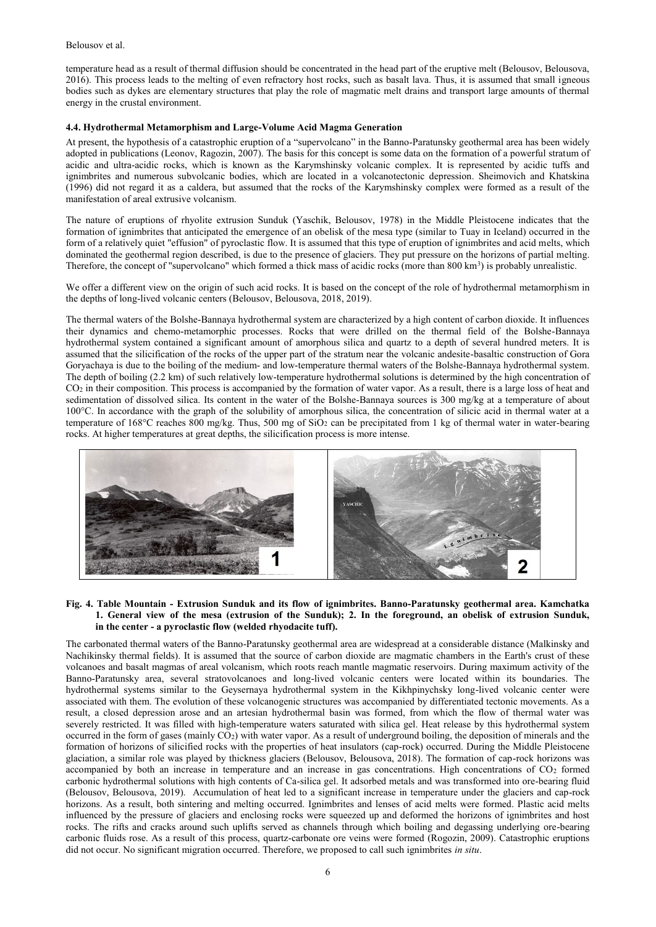temperature head as a result of thermal diffusion should be concentrated in the head part of the eruptive melt (Belousov, Belousova, 2016). This process leads to the melting of even refractory host rocks, such as basalt lava. Thus, it is assumed that small igneous bodies such as dykes are elementary structures that play the role of magmatic melt drains and transport large amounts of thermal energy in the crustal environment.

## **4.4. Hydrothermal Metamorphism and Large-Volume Acid Magma Generation**

At present, the hypothesis of a catastrophic eruption of a "supervolcano" in the Banno-Paratunsky geothermal area has been widely adopted in publications (Leonov, Ragozin, 2007). The basis for this concept is some data on the formation of a powerful stratum of acidic and ultra-acidic rocks, which is known as the Karymshinsky volcanic complex. It is represented by acidic tuffs and ignimbrites and numerous subvolcanic bodies, which are located in a volcanotectonic depression. Sheimovich and Khatskina (1996) did not regard it as a caldera, but assumed that the rocks of the Karymshinsky complex were formed as a result of the manifestation of areal extrusive volcanism.

The nature of eruptions of rhyolite extrusion Sunduk (Yaschik, Belousov, 1978) in the Middle Pleistocene indicates that the formation of ignimbrites that anticipated the emergence of an obelisk of the mesa type (similar to Tuay in Iceland) occurred in the form of a relatively quiet "effusion" of pyroclastic flow. It is assumed that this type of eruption of ignimbrites and acid melts, which dominated the geothermal region described, is due to the presence of glaciers. They put pressure on the horizons of partial melting. Therefore, the concept of "supervolcano" which formed a thick mass of acidic rocks (more than 800 km<sup>3</sup>) is probably unrealistic.

We offer a different view on the origin of such acid rocks. It is based on the concept of the role of hydrothermal metamorphism in the depths of long-lived volcanic centers (Belousov, Belousova, 2018, 2019).

The thermal waters of the Bolshe-Bannaya hydrothermal system are characterized by a high content of carbon dioxide. It influences their dynamics and chemo-metamorphic processes. Rocks that were drilled on the thermal field of the Bolshe-Bannaya hydrothermal system contained a significant amount of amorphous silica and quartz to a depth of several hundred meters. It is assumed that the silicification of the rocks of the upper part of the stratum near the volcanic andesite-basaltic construction of Gora Goryachaya is due to the boiling of the medium- and low-temperature thermal waters of the Bolshe-Bannaya hydrothermal system. The depth of boiling (2.2 km) of such relatively low-temperature hydrothermal solutions is determined by the high concentration of CO<sup>2</sup> in their composition. This process is accompanied by the formation of water vapor. As a result, there is a large loss of heat and sedimentation of dissolved silica. Its content in the water of the Bolshe-Bannaya sources is 300 mg/kg at a temperature of about 100°C. In accordance with the graph of the solubility of amorphous silica, the concentration of silicic acid in thermal water at a temperature of 168°C reaches 800 mg/kg. Thus, 500 mg of SiO<sup>2</sup> can be precipitated from 1 kg of thermal water in water-bearing rocks. At higher temperatures at great depths, the silicification process is more intense.



## **Fig. 4. Table Mountain - Extrusion Sunduk and its flow of ignimbrites. Banno-Paratunsky geothermal area. Kamchatka 1. General view of the mesa (extrusion of the Sunduk); 2. In the foreground, an obelisk of extrusion Sunduk, in the center - a pyroclastic flow (welded rhyodacite tuff).**

The carbonated thermal waters of the Banno-Paratunsky geothermal area are widespread at a considerable distance (Malkinsky and Nachikinsky thermal fields). It is assumed that the source of carbon dioxide are magmatic chambers in the Earth's crust of these volcanoes and basalt magmas of areal volcanism, which roots reach mantle magmatic reservoirs. During maximum activity of the Banno-Paratunsky area, several stratovolcanoes and long-lived volcanic centers were located within its boundaries. The hydrothermal systems similar to the Geysernaya hydrothermal system in the Kikhpinychsky long-lived volcanic center were associated with them. The evolution of these volcanogenic structures was accompanied by differentiated tectonic movements. As a result, a closed depression arose and an artesian hydrothermal basin was formed, from which the flow of thermal water was severely restricted. It was filled with high-temperature waters saturated with silica gel. Heat release by this hydrothermal system occurred in the form of gases (mainly  $CO<sub>2</sub>$ ) with water vapor. As a result of underground boiling, the deposition of minerals and the formation of horizons of silicified rocks with the properties of heat insulators (cap-rock) occurred. During the Middle Pleistocene glaciation, a similar role was played by thickness glaciers (Belousov, Belousova, 2018). The formation of cap-rock horizons was accompanied by both an increase in temperature and an increase in gas concentrations. High concentrations of CO<sup>2</sup> formed carbonic hydrothermal solutions with high contents of Ca-silica gel. It adsorbed metals and was transformed into ore-bearing fluid (Belousov, Belousova, 2019). Accumulation of heat led to a significant increase in temperature under the glaciers and cap-rock horizons. As a result, both sintering and melting occurred. Ignimbrites and lenses of acid melts were formed. Plastic acid melts influenced by the pressure of glaciers and enclosing rocks were squeezed up and deformed the horizons of ignimbrites and host rocks. The rifts and cracks around such uplifts served as channels through which boiling and degassing underlying ore-bearing carbonic fluids rose. As a result of this process, quartz-carbonate ore veins were formed (Rogozin, 2009). Catastrophic eruptions did not occur. No significant migration occurred. Therefore, we proposed to call such ignimbrites *in situ*.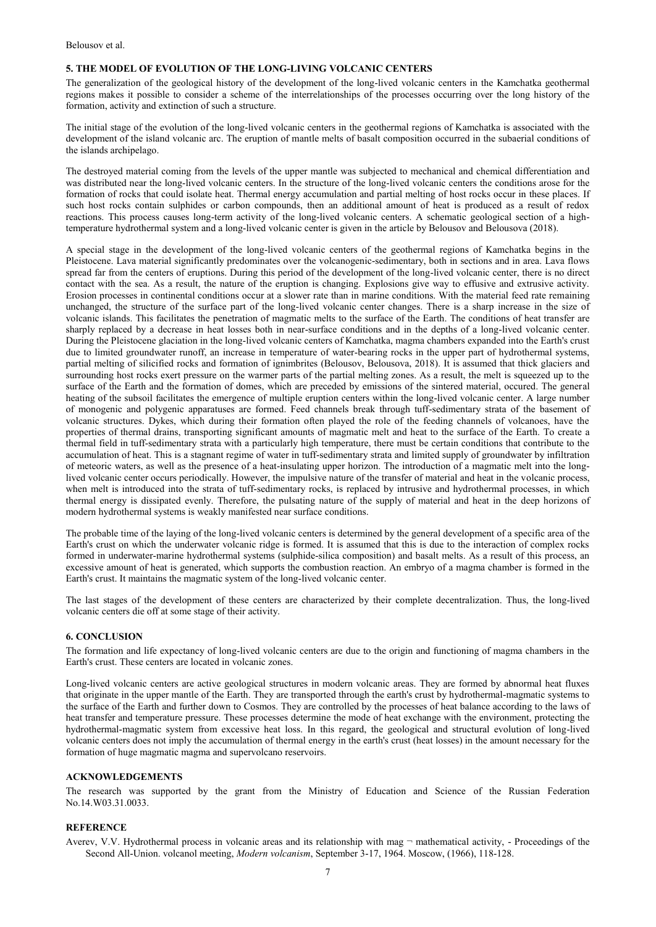#### **5. THE MODEL OF EVOLUTION OF THE LONG-LIVING VOLCANIC CENTERS**

The generalization of the geological history of the development of the long-lived volcanic centers in the Kamchatka geothermal regions makes it possible to consider a scheme of the interrelationships of the processes occurring over the long history of the formation, activity and extinction of such a structure.

The initial stage of the evolution of the long-lived volcanic centers in the geothermal regions of Kamchatka is associated with the development of the island volcanic arc. The eruption of mantle melts of basalt composition occurred in the subaerial conditions of the islands archipelago.

The destroyed material coming from the levels of the upper mantle was subjected to mechanical and chemical differentiation and was distributed near the long-lived volcanic centers. In the structure of the long-lived volcanic centers the conditions arose for the formation of rocks that could isolate heat. Thermal energy accumulation and partial melting of host rocks occur in these places. If such host rocks contain sulphides or carbon compounds, then an additional amount of heat is produced as a result of redox reactions. This process causes long-term activity of the long-lived volcanic centers. A schematic geological section of a hightemperature hydrothermal system and a long-lived volcanic center is given in the article by Belousov and Belousova (2018).

A special stage in the development of the long-lived volcanic centers of the geothermal regions of Kamchatka begins in the Pleistocene. Lava material significantly predominates over the volcanogenic-sedimentary, both in sections and in area. Lava flows spread far from the centers of eruptions. During this period of the development of the long-lived volcanic center, there is no direct contact with the sea. As a result, the nature of the eruption is changing. Explosions give way to effusive and extrusive activity. Erosion processes in continental conditions occur at a slower rate than in marine conditions. With the material feed rate remaining unchanged, the structure of the surface part of the long-lived volcanic center changes. There is a sharp increase in the size of volcanic islands. This facilitates the penetration of magmatic melts to the surface of the Earth. The conditions of heat transfer are sharply replaced by a decrease in heat losses both in near-surface conditions and in the depths of a long-lived volcanic center. During the Pleistocene glaciation in the long-lived volcanic centers of Kamchatka, magma chambers expanded into the Earth's crust due to limited groundwater runoff, an increase in temperature of water-bearing rocks in the upper part of hydrothermal systems, partial melting of silicified rocks and formation of ignimbrites (Belousov, Belousova, 2018). It is assumed that thick glaciers and surrounding host rocks exert pressure on the warmer parts of the partial melting zones. As a result, the melt is squeezed up to the surface of the Earth and the formation of domes, which are preceded by emissions of the sintered material, occured. The general heating of the subsoil facilitates the emergence of multiple eruption centers within the long-lived volcanic center. A large number of monogenic and polygenic apparatuses are formed. Feed channels break through tuff-sedimentary strata of the basement of volcanic structures. Dykes, which during their formation often played the role of the feeding channels of volcanoes, have the properties of thermal drains, transporting significant amounts of magmatic melt and heat to the surface of the Earth. To create a thermal field in tuff-sedimentary strata with a particularly high temperature, there must be certain conditions that contribute to the accumulation of heat. This is a stagnant regime of water in tuff-sedimentary strata and limited supply of groundwater by infiltration of meteoric waters, as well as the presence of a heat-insulating upper horizon. The introduction of a magmatic melt into the longlived volcanic center occurs periodically. However, the impulsive nature of the transfer of material and heat in the volcanic process, when melt is introduced into the strata of tuff-sedimentary rocks, is replaced by intrusive and hydrothermal processes, in which thermal energy is dissipated evenly. Therefore, the pulsating nature of the supply of material and heat in the deep horizons of modern hydrothermal systems is weakly manifested near surface conditions.

The probable time of the laying of the long-lived volcanic centers is determined by the general development of a specific area of the Earth's crust on which the underwater volcanic ridge is formed. It is assumed that this is due to the interaction of complex rocks formed in underwater-marine hydrothermal systems (sulphide-silica composition) and basalt melts. As a result of this process, an excessive amount of heat is generated, which supports the combustion reaction. An embryo of a magma chamber is formed in the Earth's crust. It maintains the magmatic system of the long-lived volcanic center.

The last stages of the development of these centers are characterized by their complete decentralization. Thus, the long-lived volcanic centers die off at some stage of their activity.

#### **6. CONCLUSION**

The formation and life expectancy of long-lived volcanic centers are due to the origin and functioning of magma chambers in the Earth's crust. These centers are located in volcanic zones.

Long-lived volcanic centers are active geological structures in modern volcanic areas. They are formed by abnormal heat fluxes that originate in the upper mantle of the Earth. They are transported through the earth's crust by hydrothermal-magmatic systems to the surface of the Earth and further down to Cosmos. They are controlled by the processes of heat balance according to the laws of heat transfer and temperature pressure. These processes determine the mode of heat exchange with the environment, protecting the hydrothermal-magmatic system from excessive heat loss. In this regard, the geological and structural evolution of long-lived volcanic centers does not imply the accumulation of thermal energy in the earth's crust (heat losses) in the amount necessary for the formation of huge magmatic magma and supervolcano reservoirs.

## **ACKNOWLEDGEMENTS**

The research was supported by the grant from the Ministry of Education and Science of the Russian Federation No.14.W03.31.0033.

#### **REFERENCE**

Averev, V.V. Hydrothermal process in volcanic areas and its relationship with mag ¬ mathematical activity, - Proceedings of the Second All-Union. volcanol meeting, *Modern volcanism*, September 3-17, 1964. Moscow, (1966), 118-128.